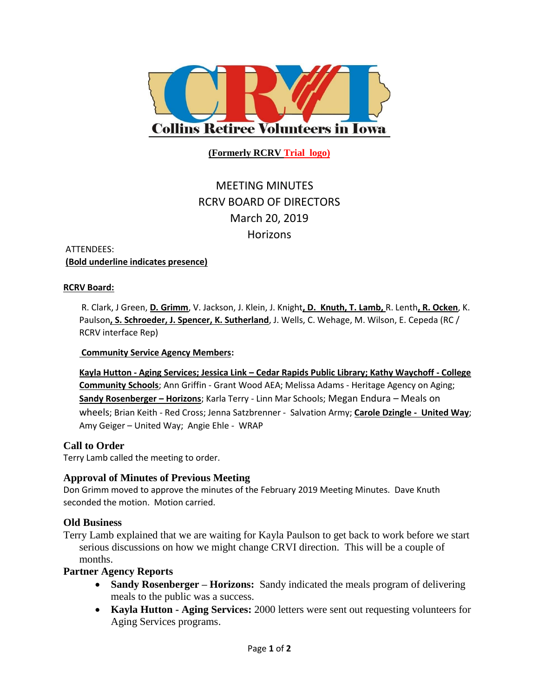

**(Formerly RCRV Trial logo)**

# MEETING MINUTES RCRV BOARD OF DIRECTORS March 20, 2019 **Horizons**

#### ATTENDEES: **(Bold underline indicates presence)**

#### **RCRV Board:**

R. Clark, J Green, **D. Grimm**, V. Jackson, J. Klein, J. Knight**, D. Knuth, T. Lamb,** R. Lenth**, R. Ocken**, K. Paulson**, S. Schroeder, J. Spencer, K. Sutherland**, J. Wells, C. Wehage, M. Wilson, E. Cepeda (RC / RCRV interface Rep)

#### **Community Service Agency Members:**

**Kayla Hutton - Aging Services; Jessica Link – Cedar Rapids Public Library; Kathy Waychoff - College Community Schools**; Ann Griffin - Grant Wood AEA; Melissa Adams - Heritage Agency on Aging; **Sandy Rosenberger – Horizons**; Karla Terry - Linn Mar Schools; Megan Endura – Meals on wheels; Brian Keith - Red Cross; Jenna Satzbrenner - Salvation Army; **Carole Dzingle - United Way**; Amy Geiger – United Way; Angie Ehle - WRAP

## **Call to Order**

Terry Lamb called the meeting to order.

## **Approval of Minutes of Previous Meeting**

Don Grimm moved to approve the minutes of the February 2019 Meeting Minutes. Dave Knuth seconded the motion. Motion carried.

## **Old Business**

Terry Lamb explained that we are waiting for Kayla Paulson to get back to work before we start serious discussions on how we might change CRVI direction. This will be a couple of months.

## **Partner Agency Reports**

- **Sandy Rosenberger – Horizons:** Sandy indicated the meals program of delivering meals to the public was a success.
- **Kayla Hutton - Aging Services:** 2000 letters were sent out requesting volunteers for Aging Services programs.